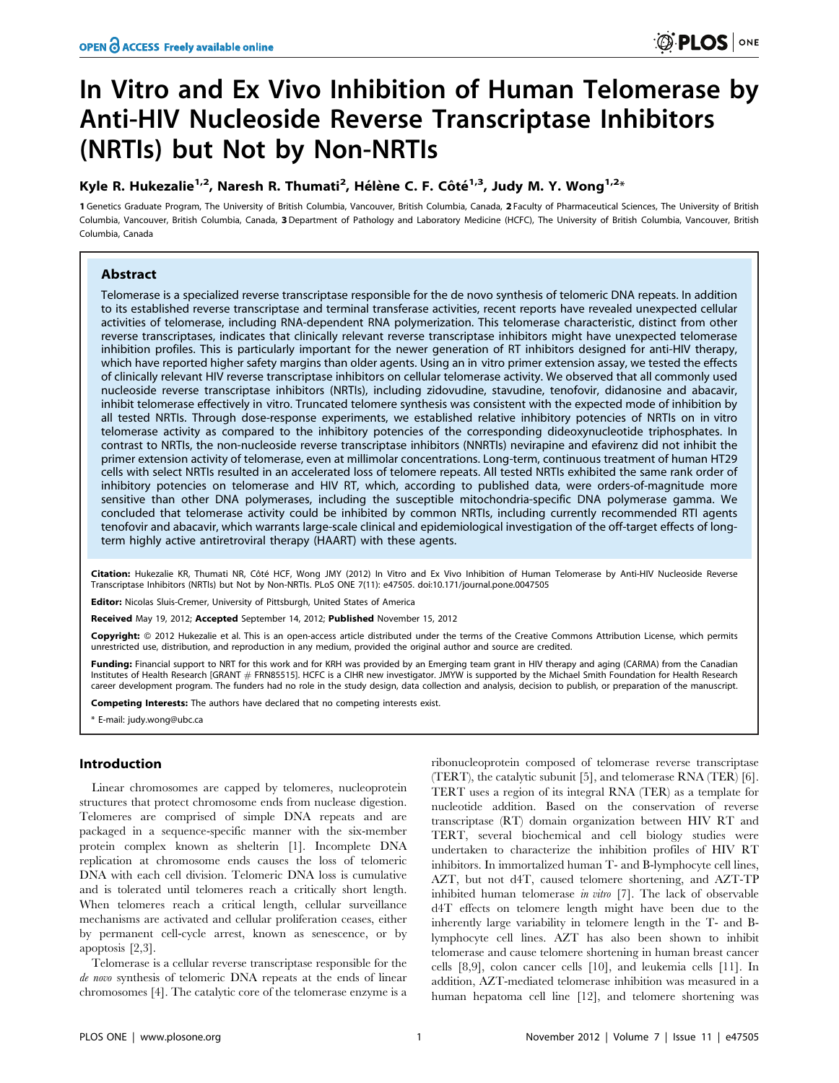# In Vitro and Ex Vivo Inhibition of Human Telomerase by Anti-HIV Nucleoside Reverse Transcriptase Inhibitors (NRTIs) but Not by Non-NRTIs

# Kyle R. Hukezalie<sup>1,2</sup>, Naresh R. Thumati<sup>2</sup>, Hélène C. F. Côté<sup>1,3</sup>, Judy M. Y. Wong<sup>1,2</sup>\*

1 Genetics Graduate Program, The University of British Columbia, Vancouver, British Columbia, Canada, 2 Faculty of Pharmaceutical Sciences, The University of British Columbia, Vancouver, British Columbia, Canada, 3Department of Pathology and Laboratory Medicine (HCFC), The University of British Columbia, Vancouver, British Columbia, Canada

# Abstract

Telomerase is a specialized reverse transcriptase responsible for the de novo synthesis of telomeric DNA repeats. In addition to its established reverse transcriptase and terminal transferase activities, recent reports have revealed unexpected cellular activities of telomerase, including RNA-dependent RNA polymerization. This telomerase characteristic, distinct from other reverse transcriptases, indicates that clinically relevant reverse transcriptase inhibitors might have unexpected telomerase inhibition profiles. This is particularly important for the newer generation of RT inhibitors designed for anti-HIV therapy, which have reported higher safety margins than older agents. Using an in vitro primer extension assay, we tested the effects of clinically relevant HIV reverse transcriptase inhibitors on cellular telomerase activity. We observed that all commonly used nucleoside reverse transcriptase inhibitors (NRTIs), including zidovudine, stavudine, tenofovir, didanosine and abacavir, inhibit telomerase effectively in vitro. Truncated telomere synthesis was consistent with the expected mode of inhibition by all tested NRTIs. Through dose-response experiments, we established relative inhibitory potencies of NRTIs on in vitro telomerase activity as compared to the inhibitory potencies of the corresponding dideoxynucleotide triphosphates. In contrast to NRTIs, the non-nucleoside reverse transcriptase inhibitors (NNRTIs) nevirapine and efavirenz did not inhibit the primer extension activity of telomerase, even at millimolar concentrations. Long-term, continuous treatment of human HT29 cells with select NRTIs resulted in an accelerated loss of telomere repeats. All tested NRTIs exhibited the same rank order of inhibitory potencies on telomerase and HIV RT, which, according to published data, were orders-of-magnitude more sensitive than other DNA polymerases, including the susceptible mitochondria-specific DNA polymerase gamma. We concluded that telomerase activity could be inhibited by common NRTIs, including currently recommended RTI agents tenofovir and abacavir, which warrants large-scale clinical and epidemiological investigation of the off-target effects of longterm highly active antiretroviral therapy (HAART) with these agents.

Citation: Hukezalie KR, Thumati NR, Côté HCF, Wong JMY (2012) In Vitro and Ex Vivo Inhibition of Human Telomerase by Anti-HIV Nucleoside Reverse Transcriptase Inhibitors (NRTIs) but Not by Non-NRTIs. PLoS ONE 7(11): e47505. doi:10.171/journal.pone.0047505

Editor: Nicolas Sluis-Cremer, University of Pittsburgh, United States of America

Received May 19, 2012; Accepted September 14, 2012; Published November 15, 2012

Copyright: © 2012 Hukezalie et al. This is an open-access article distributed under the terms of the Creative Commons Attribution License, which permits unrestricted use, distribution, and reproduction in any medium, provided the original author and source are credited.

Funding: Financial support to NRT for this work and for KRH was provided by an Emerging team grant in HIV therapy and aging (CARMA) from the Canadian Institutes of Health Research [GRANT # FRN85515]. HCFC is a CIHR new investigator. JMYW is supported by the Michael Smith Foundation for Health Research career development program. The funders had no role in the study design, data collection and analysis, decision to publish, or preparation of the manuscript.

Competing Interests: The authors have declared that no competing interests exist.

\* E-mail: judy.wong@ubc.ca

# Introduction

Linear chromosomes are capped by telomeres, nucleoprotein structures that protect chromosome ends from nuclease digestion. Telomeres are comprised of simple DNA repeats and are packaged in a sequence-specific manner with the six-member protein complex known as shelterin [1]. Incomplete DNA replication at chromosome ends causes the loss of telomeric DNA with each cell division. Telomeric DNA loss is cumulative and is tolerated until telomeres reach a critically short length. When telomeres reach a critical length, cellular surveillance mechanisms are activated and cellular proliferation ceases, either by permanent cell-cycle arrest, known as senescence, or by apoptosis [2,3].

Telomerase is a cellular reverse transcriptase responsible for the de novo synthesis of telomeric DNA repeats at the ends of linear chromosomes [4]. The catalytic core of the telomerase enzyme is a ribonucleoprotein composed of telomerase reverse transcriptase (TERT), the catalytic subunit [5], and telomerase RNA (TER) [6]. TERT uses a region of its integral RNA (TER) as a template for nucleotide addition. Based on the conservation of reverse transcriptase (RT) domain organization between HIV RT and TERT, several biochemical and cell biology studies were undertaken to characterize the inhibition profiles of HIV RT inhibitors. In immortalized human T- and B-lymphocyte cell lines, AZT, but not d4T, caused telomere shortening, and AZT-TP inhibited human telomerase in vitro [7]. The lack of observable d4T effects on telomere length might have been due to the inherently large variability in telomere length in the T- and Blymphocyte cell lines. AZT has also been shown to inhibit telomerase and cause telomere shortening in human breast cancer cells [8,9], colon cancer cells [10], and leukemia cells [11]. In addition, AZT-mediated telomerase inhibition was measured in a human hepatoma cell line [12], and telomere shortening was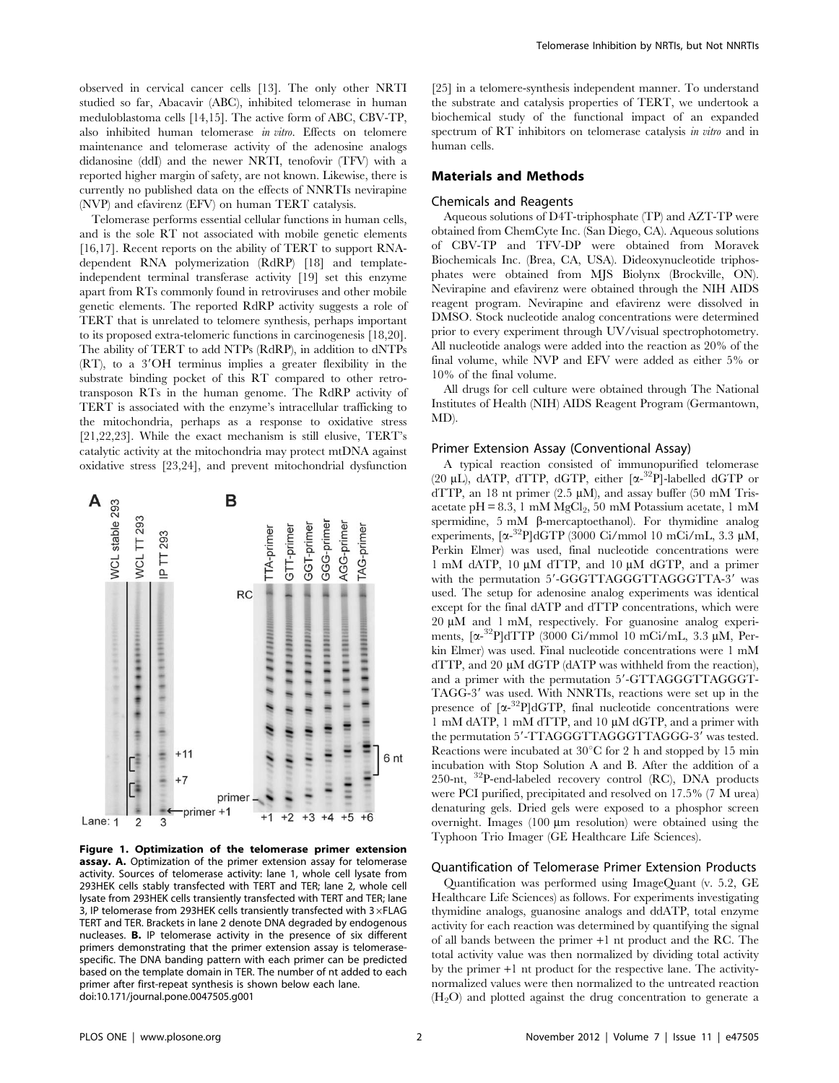observed in cervical cancer cells [13]. The only other NRTI studied so far, Abacavir (ABC), inhibited telomerase in human meduloblastoma cells [14,15]. The active form of ABC, CBV-TP, also inhibited human telomerase in vitro. Effects on telomere maintenance and telomerase activity of the adenosine analogs didanosine (ddI) and the newer NRTI, tenofovir (TFV) with a reported higher margin of safety, are not known. Likewise, there is currently no published data on the effects of NNRTIs nevirapine (NVP) and efavirenz (EFV) on human TERT catalysis.

Telomerase performs essential cellular functions in human cells, and is the sole RT not associated with mobile genetic elements [16,17]. Recent reports on the ability of TERT to support RNAdependent RNA polymerization (RdRP) [18] and templateindependent terminal transferase activity [19] set this enzyme apart from RTs commonly found in retroviruses and other mobile genetic elements. The reported RdRP activity suggests a role of TERT that is unrelated to telomere synthesis, perhaps important to its proposed extra-telomeric functions in carcinogenesis [18,20]. The ability of TERT to add NTPs (RdRP), in addition to dNTPs  $(RT)$ , to a  $3'OH$  terminus implies a greater flexibility in the substrate binding pocket of this RT compared to other retrotransposon RTs in the human genome. The RdRP activity of TERT is associated with the enzyme's intracellular trafficking to the mitochondria, perhaps as a response to oxidative stress [21,22,23]. While the exact mechanism is still elusive, TERT's catalytic activity at the mitochondria may protect mtDNA against oxidative stress [23,24], and prevent mitochondrial dysfunction



Figure 1. Optimization of the telomerase primer extension assay. A. Optimization of the primer extension assay for telomerase activity. Sources of telomerase activity: lane 1, whole cell lysate from 293HEK cells stably transfected with TERT and TER; lane 2, whole cell lysate from 293HEK cells transiently transfected with TERT and TER; lane 3, IP telomerase from 293HEK cells transiently transfected with  $3\times$ FLAG TERT and TER. Brackets in lane 2 denote DNA degraded by endogenous nucleases. B. IP telomerase activity in the presence of six different primers demonstrating that the primer extension assay is telomerasespecific. The DNA banding pattern with each primer can be predicted based on the template domain in TER. The number of nt added to each primer after first-repeat synthesis is shown below each lane. doi:10.171/journal.pone.0047505.g001

[25] in a telomere-synthesis independent manner. To understand the substrate and catalysis properties of TERT, we undertook a biochemical study of the functional impact of an expanded spectrum of RT inhibitors on telomerase catalysis in vitro and in human cells.

## Materials and Methods

## Chemicals and Reagents

Aqueous solutions of D4T-triphosphate (TP) and AZT-TP were obtained from ChemCyte Inc. (San Diego, CA). Aqueous solutions of CBV-TP and TFV-DP were obtained from Moravek Biochemicals Inc. (Brea, CA, USA). Dideoxynucleotide triphosphates were obtained from MJS Biolynx (Brockville, ON). Nevirapine and efavirenz were obtained through the NIH AIDS reagent program. Nevirapine and efavirenz were dissolved in DMSO. Stock nucleotide analog concentrations were determined prior to every experiment through UV/visual spectrophotometry. All nucleotide analogs were added into the reaction as 20% of the final volume, while NVP and EFV were added as either 5% or 10% of the final volume.

All drugs for cell culture were obtained through The National Institutes of Health (NIH) AIDS Reagent Program (Germantown, MD).

#### Primer Extension Assay (Conventional Assay)

A typical reaction consisted of immunopurified telomerase  $(20 \mu L)$ , dATP, dTTP, dGTP, either  $[\alpha^{-32}P]$ -labelled dGTP or dTTP, an 18 nt primer (2.5  $\mu$ M), and assay buffer (50 mM Trisacetate pH =  $8.3$ , 1 mM MgCl<sub>2</sub>, 50 mM Potassium acetate, 1 mM spermidine,  $5 \text{ mM}$   $\beta$ -mercaptoethanol). For thymidine analog experiments,  $[\alpha^{-32}P]$ dGTP (3000 Ci/mmol 10 mCi/mL, 3.3 µM, Perkin Elmer) was used, final nucleotide concentrations were 1 mM dATP, 10  $\mu$ M dTTP, and 10  $\mu$ M dGTP, and a primer with the permutation 5'-GGGTTAGGGTTAGGGTTA-3' was used. The setup for adenosine analog experiments was identical except for the final dATP and dTTP concentrations, which were  $20 \mu M$  and 1 mM, respectively. For guanosine analog experiments, [a-<sup>32</sup>P]dTTP (3000 Ci/mmol 10 mCi/mL, 3.3 µM, Perkin Elmer) was used. Final nucleotide concentrations were 1 mM  $dTTP$ , and 20  $\mu$ M dGTP (dATP was withheld from the reaction), and a primer with the permutation 5'-GTTAGGGTTAGGGT-TAGG-3' was used. With NNRTIs, reactions were set up in the presence of  $[\alpha^{-32}P] dGTP$ , final nucleotide concentrations were 1 mM dATP, 1 mM dTTP, and 10 mM dGTP, and a primer with the permutation 5'-TTAGGGTTAGGGTTAGGG-3' was tested. Reactions were incubated at  $30^{\circ}$ C for 2 h and stopped by 15 min incubation with Stop Solution A and B. After the addition of a 250-nt, 32P-end-labeled recovery control (RC), DNA products were PCI purified, precipitated and resolved on 17.5% (7 M urea) denaturing gels. Dried gels were exposed to a phosphor screen overnight. Images  $(100 \mu m$  resolution) were obtained using the Typhoon Trio Imager (GE Healthcare Life Sciences).

## Quantification of Telomerase Primer Extension Products

Quantification was performed using ImageQuant (v. 5.2, GE Healthcare Life Sciences) as follows. For experiments investigating thymidine analogs, guanosine analogs and ddATP, total enzyme activity for each reaction was determined by quantifying the signal of all bands between the primer +1 nt product and the RC. The total activity value was then normalized by dividing total activity by the primer +1 nt product for the respective lane. The activitynormalized values were then normalized to the untreated reaction  $(H<sub>2</sub>O)$  and plotted against the drug concentration to generate a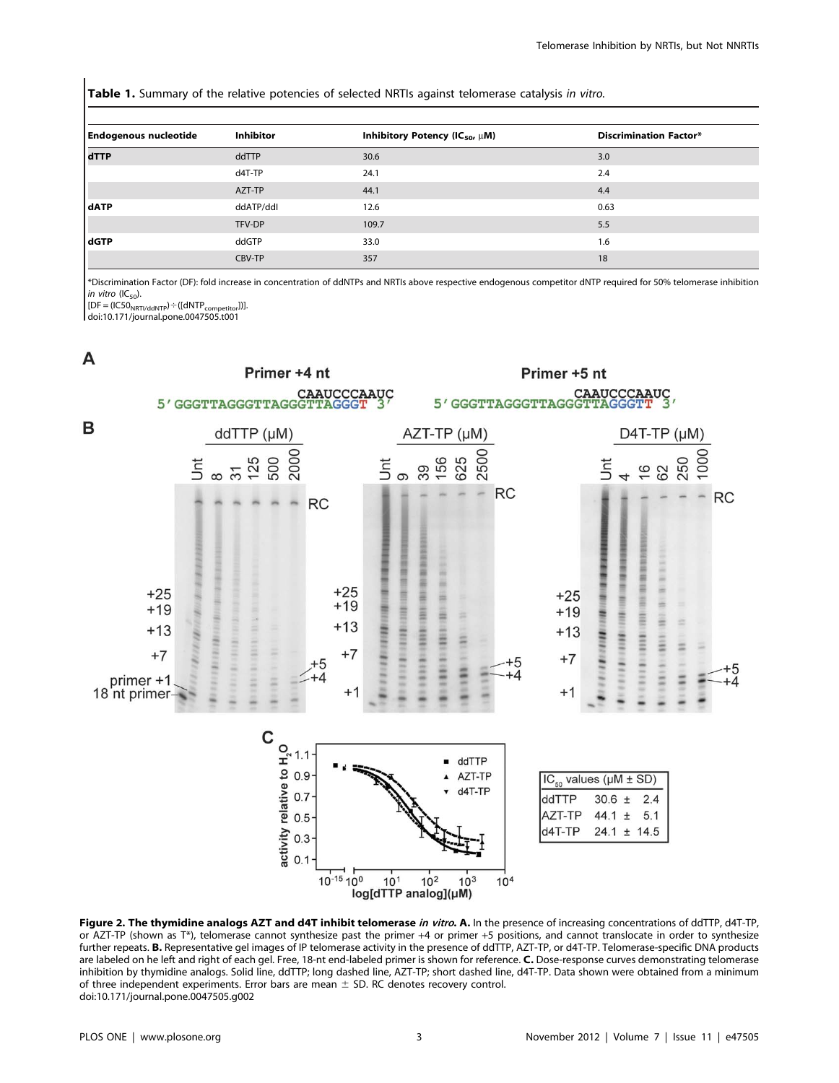Table 1. Summary of the relative potencies of selected NRTIs against telomerase catalysis in vitro.

| <b>Endogenous nucleotide</b> | <b>Inhibitor</b> | Inhibitory Potency (IC <sub>50</sub> , $\mu$ M) | <b>Discrimination Factor*</b> |
|------------------------------|------------------|-------------------------------------------------|-------------------------------|
| dTTP                         | ddTTP            | 30.6                                            | 3.0                           |
|                              | d4T-TP           | 24.1                                            | 2.4                           |
|                              | AZT-TP           | 44.1                                            | 4.4                           |
| dATP                         | ddATP/ddl        | 12.6                                            | 0.63                          |
|                              | TFV-DP           | 109.7                                           | 5.5                           |
| dGTP                         | ddGTP            | 33.0                                            | 1.6                           |
|                              | CBV-TP           | 357                                             | 18                            |

\*Discrimination Factor (DF): fold increase in concentration of ddNTPs and NRTIs above respective endogenous competitor dNTP required for 50% telomerase inhibition in vitro ( $IC_{50}$ ).

 $[DF = (IC50<sub>NRTI/ddNTP</sub>) + ([dNTP<sub>compactitor</sub>])].$ 

doi:10.171/journal.pone.0047505.t001



Figure 2. The thymidine analogs AZT and d4T inhibit telomerase in vitro. A. In the presence of increasing concentrations of ddTTP, d4T-TP, or AZT-TP (shown as T\*), telomerase cannot synthesize past the primer +4 or primer +5 positions, and cannot translocate in order to synthesize further repeats. B. Representative gel images of IP telomerase activity in the presence of ddTTP, AZT-TP, or d4T-TP. Telomerase-specific DNA products are labeled on he left and right of each gel. Free, 18-nt end-labeled primer is shown for reference. C. Dose-response curves demonstrating telomerase inhibition by thymidine analogs. Solid line, ddTTP; long dashed line, AZT-TP; short dashed line, d4T-TP. Data shown were obtained from a minimum of three independent experiments. Error bars are mean  $\pm$  SD. RC denotes recovery control. doi:10.171/journal.pone.0047505.g002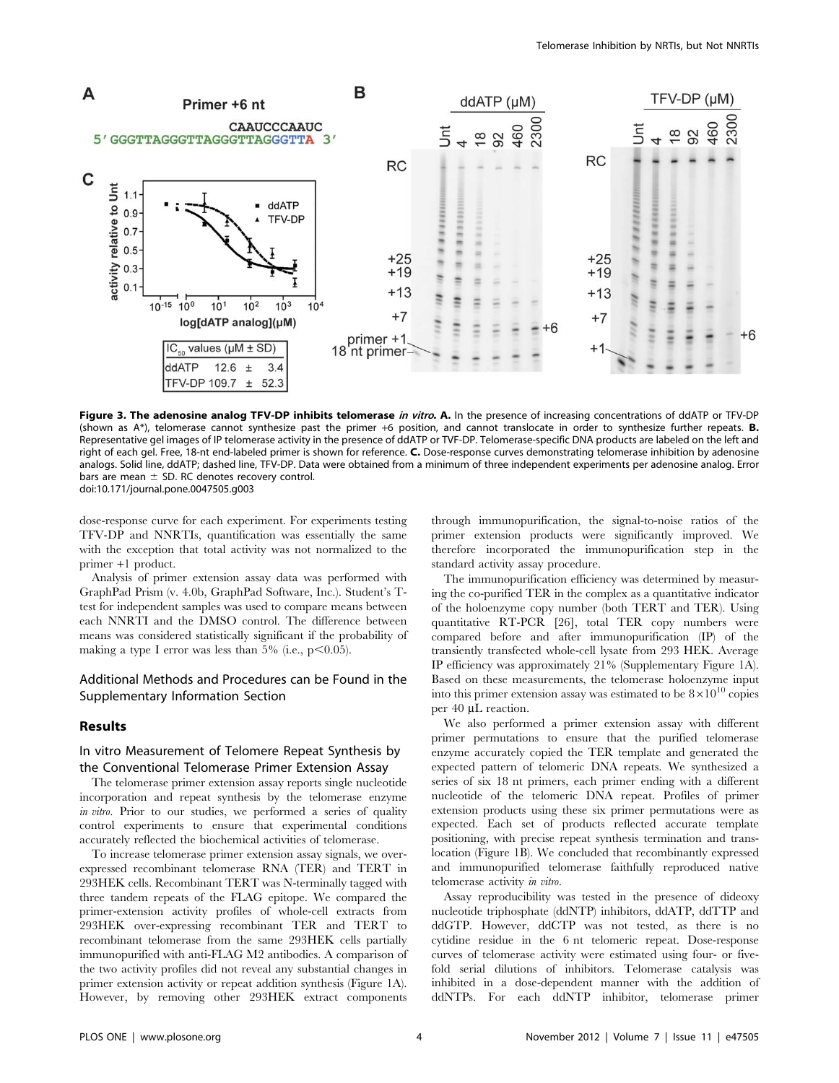

Figure 3. The adenosine analog TFV-DP inhibits telomerase in vitro. A. In the presence of increasing concentrations of ddATP or TFV-DP (shown as  $A^*$ ), telomerase cannot synthesize past the primer +6 position, and cannot translocate in order to synthesize further repeats. **B.** Representative gel images of IP telomerase activity in the presence of ddATP or TVF-DP. Telomerase-specific DNA products are labeled on the left and right of each gel. Free, 18-nt end-labeled primer is shown for reference. C. Dose-response curves demonstrating telomerase inhibition by adenosine analogs. Solid line, ddATP; dashed line, TFV-DP. Data were obtained from a minimum of three independent experiments per adenosine analog. Error bars are mean  $\pm$  SD. RC denotes recovery control. doi:10.171/journal.pone.0047505.g003

dose-response curve for each experiment. For experiments testing TFV-DP and NNRTIs, quantification was essentially the same with the exception that total activity was not normalized to the primer +1 product.

Analysis of primer extension assay data was performed with GraphPad Prism (v. 4.0b, GraphPad Software, Inc.). Student's Ttest for independent samples was used to compare means between each NNRTI and the DMSO control. The difference between means was considered statistically significant if the probability of making a type I error was less than  $5\%$  (i.e.,  $p<0.05$ ).

# Additional Methods and Procedures can be Found in the Supplementary Information Section

## Results

# In vitro Measurement of Telomere Repeat Synthesis by the Conventional Telomerase Primer Extension Assay

The telomerase primer extension assay reports single nucleotide incorporation and repeat synthesis by the telomerase enzyme in vitro. Prior to our studies, we performed a series of quality control experiments to ensure that experimental conditions accurately reflected the biochemical activities of telomerase.

To increase telomerase primer extension assay signals, we overexpressed recombinant telomerase RNA (TER) and TERT in 293HEK cells. Recombinant TERT was N-terminally tagged with three tandem repeats of the FLAG epitope. We compared the primer-extension activity profiles of whole-cell extracts from 293HEK over-expressing recombinant TER and TERT to recombinant telomerase from the same 293HEK cells partially immunopurified with anti-FLAG M2 antibodies. A comparison of the two activity profiles did not reveal any substantial changes in primer extension activity or repeat addition synthesis (Figure 1A). However, by removing other 293HEK extract components

through immunopurification, the signal-to-noise ratios of the primer extension products were significantly improved. We therefore incorporated the immunopurification step in the standard activity assay procedure.

The immunopurification efficiency was determined by measuring the co-purified TER in the complex as a quantitative indicator of the holoenzyme copy number (both TERT and TER). Using quantitative RT-PCR [26], total TER copy numbers were compared before and after immunopurification (IP) of the transiently transfected whole-cell lysate from 293 HEK. Average IP efficiency was approximately 21% (Supplementary Figure 1A). Based on these measurements, the telomerase holoenzyme input into this primer extension assay was estimated to be  $8 \times 10^{10}$  copies per 40 µL reaction.

We also performed a primer extension assay with different primer permutations to ensure that the purified telomerase enzyme accurately copied the TER template and generated the expected pattern of telomeric DNA repeats. We synthesized a series of six 18 nt primers, each primer ending with a different nucleotide of the telomeric DNA repeat. Profiles of primer extension products using these six primer permutations were as expected. Each set of products reflected accurate template positioning, with precise repeat synthesis termination and translocation (Figure 1B). We concluded that recombinantly expressed and immunopurified telomerase faithfully reproduced native telomerase activity in vitro.

Assay reproducibility was tested in the presence of dideoxy nucleotide triphosphate (ddNTP) inhibitors, ddATP, ddTTP and ddGTP. However, ddCTP was not tested, as there is no cytidine residue in the 6 nt telomeric repeat. Dose-response curves of telomerase activity were estimated using four- or fivefold serial dilutions of inhibitors. Telomerase catalysis was inhibited in a dose-dependent manner with the addition of ddNTPs. For each ddNTP inhibitor, telomerase primer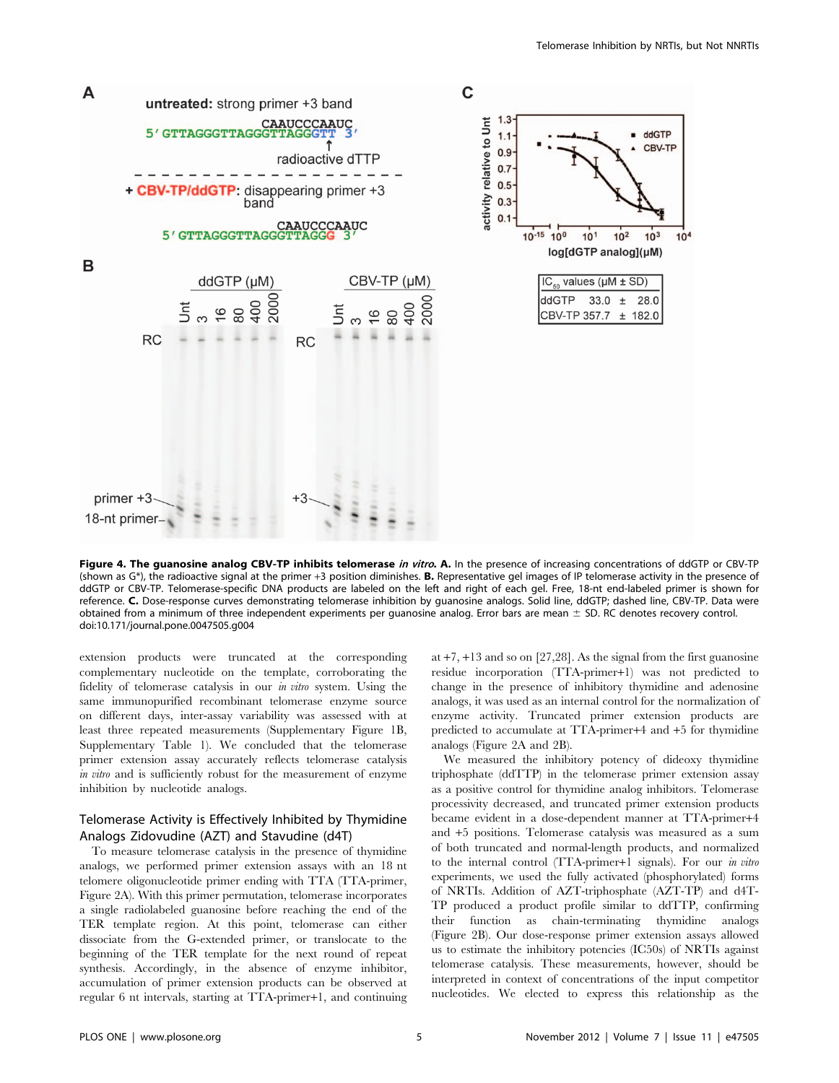

Figure 4. The guanosine analog CBV-TP inhibits telomerase in vitro. A. In the presence of increasing concentrations of ddGTP or CBV-TP (shown as  $G^*$ ), the radioactive signal at the primer +3 position diminishes. **B.** Representative gel images of IP telomerase activity in the presence of ddGTP or CBV-TP. Telomerase-specific DNA products are labeled on the left and right of each gel. Free, 18-nt end-labeled primer is shown for reference. C. Dose-response curves demonstrating telomerase inhibition by guanosine analogs. Solid line, ddGTP; dashed line, CBV-TP. Data were obtained from a minimum of three independent experiments per guanosine analog. Error bars are mean  $\pm$  SD. RC denotes recovery control. doi:10.171/journal.pone.0047505.g004

extension products were truncated at the corresponding complementary nucleotide on the template, corroborating the fidelity of telomerase catalysis in our in vitro system. Using the same immunopurified recombinant telomerase enzyme source on different days, inter-assay variability was assessed with at least three repeated measurements (Supplementary Figure 1B, Supplementary Table 1). We concluded that the telomerase primer extension assay accurately reflects telomerase catalysis in vitro and is sufficiently robust for the measurement of enzyme inhibition by nucleotide analogs.

# Telomerase Activity is Effectively Inhibited by Thymidine Analogs Zidovudine (AZT) and Stavudine (d4T)

To measure telomerase catalysis in the presence of thymidine analogs, we performed primer extension assays with an 18 nt telomere oligonucleotide primer ending with TTA (TTA-primer, Figure 2A). With this primer permutation, telomerase incorporates a single radiolabeled guanosine before reaching the end of the TER template region. At this point, telomerase can either dissociate from the G-extended primer, or translocate to the beginning of the TER template for the next round of repeat synthesis. Accordingly, in the absence of enzyme inhibitor, accumulation of primer extension products can be observed at regular 6 nt intervals, starting at TTA-primer+1, and continuing at +7, +13 and so on [27,28]. As the signal from the first guanosine residue incorporation (TTA-primer+1) was not predicted to change in the presence of inhibitory thymidine and adenosine analogs, it was used as an internal control for the normalization of enzyme activity. Truncated primer extension products are predicted to accumulate at TTA-primer+4 and +5 for thymidine analogs (Figure 2A and 2B).

We measured the inhibitory potency of dideoxy thymidine triphosphate (ddTTP) in the telomerase primer extension assay as a positive control for thymidine analog inhibitors. Telomerase processivity decreased, and truncated primer extension products became evident in a dose-dependent manner at TTA-primer+4 and +5 positions. Telomerase catalysis was measured as a sum of both truncated and normal-length products, and normalized to the internal control (TTA-primer+1 signals). For our in vitro experiments, we used the fully activated (phosphorylated) forms of NRTIs. Addition of AZT-triphosphate (AZT-TP) and d4T-TP produced a product profile similar to ddTTP, confirming their function as chain-terminating thymidine analogs (Figure 2B). Our dose-response primer extension assays allowed us to estimate the inhibitory potencies (IC50s) of NRTIs against telomerase catalysis. These measurements, however, should be interpreted in context of concentrations of the input competitor nucleotides. We elected to express this relationship as the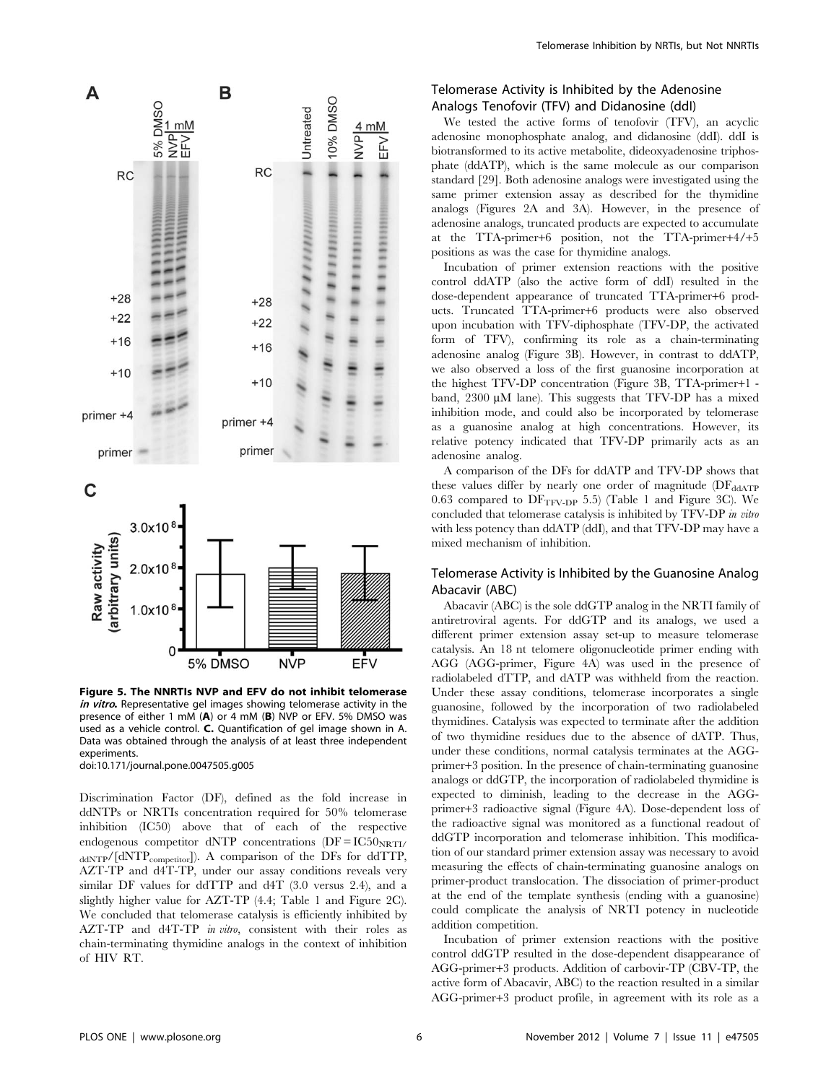

Figure 5. The NNRTIs NVP and EFV do not inhibit telomerase in vitro. Representative gel images showing telomerase activity in the presence of either 1 mM (A) or 4 mM (B) NVP or EFV. 5% DMSO was used as a vehicle control. C. Quantification of gel image shown in A. Data was obtained through the analysis of at least three independent experiments.

doi:10.171/journal.pone.0047505.g005

Discrimination Factor (DF), defined as the fold increase in ddNTPs or NRTIs concentration required for 50% telomerase inhibition (IC50) above that of each of the respective endogenous competitor dNTP concentrations  $(DF = IC50<sub>NRTI</sub>/$ ddNTP/[dNTP<sub>competitor</sub>]). A comparison of the DFs for ddTTP, AZT-TP and d4T-TP, under our assay conditions reveals very similar DF values for ddTTP and d4T (3.0 versus 2.4), and a slightly higher value for AZT-TP (4.4; Table 1 and Figure 2C). We concluded that telomerase catalysis is efficiently inhibited by AZT-TP and d4T-TP *in vitro*, consistent with their roles as chain-terminating thymidine analogs in the context of inhibition of HIV RT.

# Telomerase Activity is Inhibited by the Adenosine Analogs Tenofovir (TFV) and Didanosine (ddI)

We tested the active forms of tenofovir (TFV), an acyclic adenosine monophosphate analog, and didanosine (ddI). ddI is biotransformed to its active metabolite, dideoxyadenosine triphosphate (ddATP), which is the same molecule as our comparison standard [29]. Both adenosine analogs were investigated using the same primer extension assay as described for the thymidine analogs (Figures 2A and 3A). However, in the presence of adenosine analogs, truncated products are expected to accumulate at the TTA-primer+6 position, not the TTA-primer+4/+5 positions as was the case for thymidine analogs.

Incubation of primer extension reactions with the positive control ddATP (also the active form of ddI) resulted in the dose-dependent appearance of truncated TTA-primer+6 products. Truncated TTA-primer+6 products were also observed upon incubation with TFV-diphosphate (TFV-DP, the activated form of TFV), confirming its role as a chain-terminating adenosine analog (Figure 3B). However, in contrast to ddATP, we also observed a loss of the first guanosine incorporation at the highest TFV-DP concentration (Figure 3B, TTA-primer+1 band, 2300 µM lane). This suggests that TFV-DP has a mixed inhibition mode, and could also be incorporated by telomerase as a guanosine analog at high concentrations. However, its relative potency indicated that TFV-DP primarily acts as an adenosine analog.

A comparison of the DFs for ddATP and TFV-DP shows that these values differ by nearly one order of magnitude (DF<sub>ddATP</sub>) 0.63 compared to  $DF_{TFV-DP}$  5.5) (Table 1 and Figure 3C). We concluded that telomerase catalysis is inhibited by TFV-DP in vitro with less potency than ddATP (ddI), and that TFV-DP may have a mixed mechanism of inhibition.

# Telomerase Activity is Inhibited by the Guanosine Analog Abacavir (ABC)

Abacavir (ABC) is the sole ddGTP analog in the NRTI family of antiretroviral agents. For ddGTP and its analogs, we used a different primer extension assay set-up to measure telomerase catalysis. An 18 nt telomere oligonucleotide primer ending with AGG (AGG-primer, Figure 4A) was used in the presence of radiolabeled dTTP, and dATP was withheld from the reaction. Under these assay conditions, telomerase incorporates a single guanosine, followed by the incorporation of two radiolabeled thymidines. Catalysis was expected to terminate after the addition of two thymidine residues due to the absence of dATP. Thus, under these conditions, normal catalysis terminates at the AGGprimer+3 position. In the presence of chain-terminating guanosine analogs or ddGTP, the incorporation of radiolabeled thymidine is expected to diminish, leading to the decrease in the AGGprimer+3 radioactive signal (Figure 4A). Dose-dependent loss of the radioactive signal was monitored as a functional readout of ddGTP incorporation and telomerase inhibition. This modification of our standard primer extension assay was necessary to avoid measuring the effects of chain-terminating guanosine analogs on primer-product translocation. The dissociation of primer-product at the end of the template synthesis (ending with a guanosine) could complicate the analysis of NRTI potency in nucleotide addition competition.

Incubation of primer extension reactions with the positive control ddGTP resulted in the dose-dependent disappearance of AGG-primer+3 products. Addition of carbovir-TP (CBV-TP, the active form of Abacavir, ABC) to the reaction resulted in a similar AGG-primer+3 product profile, in agreement with its role as a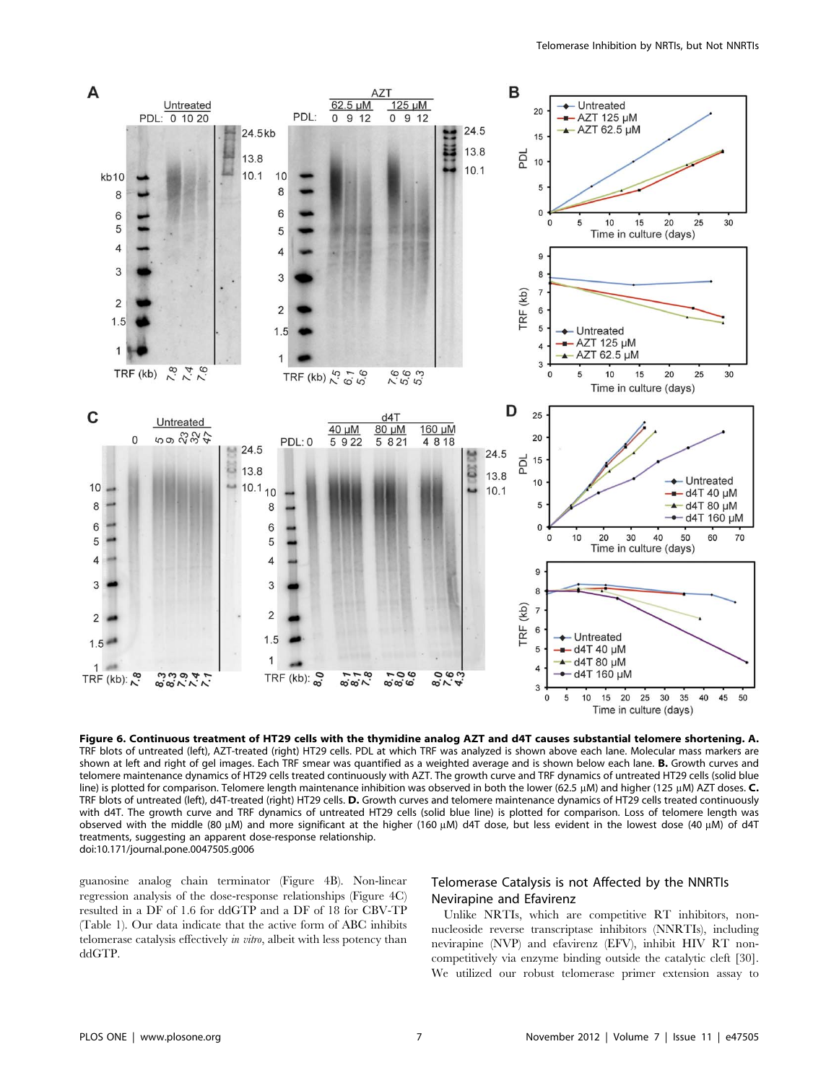

Figure 6. Continuous treatment of HT29 cells with the thymidine analog AZT and d4T causes substantial telomere shortening. A. TRF blots of untreated (left), AZT-treated (right) HT29 cells. PDL at which TRF was analyzed is shown above each lane. Molecular mass markers are shown at left and right of gel images. Each TRF smear was quantified as a weighted average and is shown below each lane. **B.** Growth curves and telomere maintenance dynamics of HT29 cells treated continuously with AZT. The growth curve and TRF dynamics of untreated HT29 cells (solid blue line) is plotted for comparison. Telomere length maintenance inhibition was observed in both the lower (62.5  $\mu$ M) and higher (125  $\mu$ M) AZT doses. C. TRF blots of untreated (left), d4T-treated (right) HT29 cells. D. Growth curves and telomere maintenance dynamics of HT29 cells treated continuously with d4T. The growth curve and TRF dynamics of untreated HT29 cells (solid blue line) is plotted for comparison. Loss of telomere length was observed with the middle (80 µM) and more significant at the higher (160 µM) d4T dose, but less evident in the lowest dose (40 µM) of d4T treatments, suggesting an apparent dose-response relationship. doi:10.171/journal.pone.0047505.g006

guanosine analog chain terminator (Figure 4B). Non-linear regression analysis of the dose-response relationships (Figure 4C) resulted in a DF of 1.6 for ddGTP and a DF of 18 for CBV-TP (Table 1). Our data indicate that the active form of ABC inhibits telomerase catalysis effectively in vitro, albeit with less potency than ddGTP.

# Telomerase Catalysis is not Affected by the NNRTIs Nevirapine and Efavirenz

Unlike NRTIs, which are competitive RT inhibitors, nonnucleoside reverse transcriptase inhibitors (NNRTIs), including nevirapine (NVP) and efavirenz (EFV), inhibit HIV RT noncompetitively via enzyme binding outside the catalytic cleft [30]. We utilized our robust telomerase primer extension assay to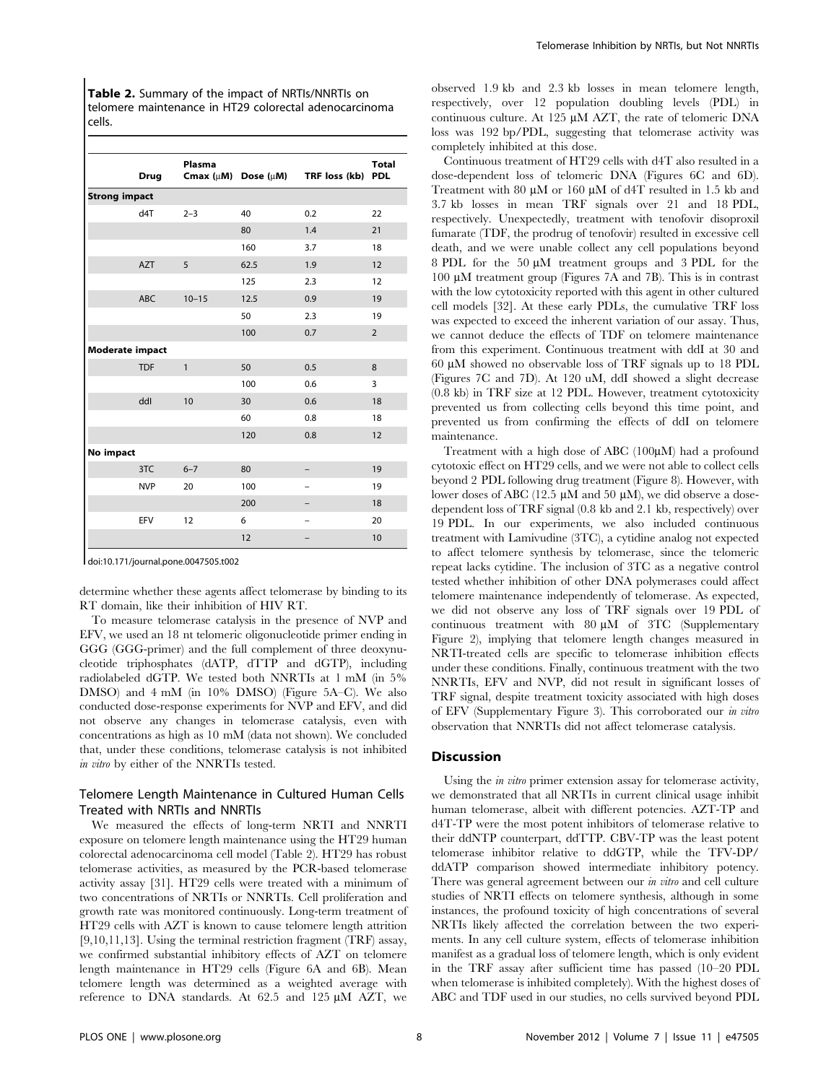Table 2. Summary of the impact of NRTIs/NNRTIs on telomere maintenance in HT29 colorectal adenocarcinoma cells.

|                        | <b>Drug</b> | Plasma                         | Cmax $(\mu M)$ Dose $(\mu M)$ | TRF loss (kb) | <b>Total</b><br><b>PDL</b> |
|------------------------|-------------|--------------------------------|-------------------------------|---------------|----------------------------|
| <b>Strong impact</b>   |             |                                |                               |               |                            |
|                        | d4T         | $2 - 3$                        | 40                            | 0.2           | 22                         |
|                        |             |                                | 80                            | 1.4           | 21                         |
|                        |             |                                | 160                           | 3.7           | 18                         |
|                        | <b>AZT</b>  | 5                              | 62.5                          | 1.9           | 12                         |
|                        |             |                                | 125                           | 2.3           | 12                         |
|                        | <b>ABC</b>  | $10 - 15$                      | 12.5                          | 0.9           | 19                         |
|                        |             |                                | 50                            | 2.3           | 19                         |
|                        |             |                                | 100                           | 0.7           | $\overline{2}$             |
| <b>Moderate impact</b> |             | $\mathbf{1}$<br>8<br>50<br>0.5 |                               |               |                            |
|                        | <b>TDF</b>  |                                |                               |               |                            |
|                        |             |                                | 100                           | 0.6           | 3                          |
|                        | ddl         | 10                             | 30                            | 0.6           | 18                         |
|                        |             |                                | 60                            | 0.8           | 18                         |
|                        |             |                                | 120                           | 0.8           | 12                         |
| No impact              |             |                                |                               |               |                            |
|                        | 3TC         | $6 - 7$                        | 80                            |               | 19                         |
|                        | <b>NVP</b>  | 20                             | 100                           |               | 19                         |
|                        |             |                                | 200                           |               | 18                         |
|                        | <b>EFV</b>  | 12                             | 6                             |               | 20                         |
|                        |             |                                | 12                            |               | 10                         |

doi:10.171/journal.pone.0047505.t002

determine whether these agents affect telomerase by binding to its RT domain, like their inhibition of HIV RT.

To measure telomerase catalysis in the presence of NVP and EFV, we used an 18 nt telomeric oligonucleotide primer ending in GGG (GGG-primer) and the full complement of three deoxynucleotide triphosphates (dATP, dTTP and dGTP), including radiolabeled dGTP. We tested both NNRTIs at 1 mM (in 5% DMSO) and 4 mM (in 10% DMSO) (Figure 5A–C). We also conducted dose-response experiments for NVP and EFV, and did not observe any changes in telomerase catalysis, even with concentrations as high as 10 mM (data not shown). We concluded that, under these conditions, telomerase catalysis is not inhibited in vitro by either of the NNRTIs tested.

# Telomere Length Maintenance in Cultured Human Cells Treated with NRTIs and NNRTIs

We measured the effects of long-term NRTI and NNRTI exposure on telomere length maintenance using the HT29 human colorectal adenocarcinoma cell model (Table 2). HT29 has robust telomerase activities, as measured by the PCR-based telomerase activity assay [31]. HT29 cells were treated with a minimum of two concentrations of NRTIs or NNRTIs. Cell proliferation and growth rate was monitored continuously. Long-term treatment of HT29 cells with AZT is known to cause telomere length attrition [9,10,11,13]. Using the terminal restriction fragment (TRF) assay, we confirmed substantial inhibitory effects of AZT on telomere length maintenance in HT29 cells (Figure 6A and 6B). Mean telomere length was determined as a weighted average with reference to DNA standards. At  $62.5$  and  $125 \mu M$  AZT, we

observed 1.9 kb and 2.3 kb losses in mean telomere length, respectively, over 12 population doubling levels (PDL) in continuous culture. At 125  $\mu$ M AZT, the rate of telomeric DNA loss was 192 bp/PDL, suggesting that telomerase activity was completely inhibited at this dose.

Continuous treatment of HT29 cells with d4T also resulted in a dose-dependent loss of telomeric DNA (Figures 6C and 6D). Treatment with 80  $\mu$ M or 160  $\mu$ M of d4T resulted in 1.5 kb and 3.7 kb losses in mean TRF signals over 21 and 18 PDL, respectively. Unexpectedly, treatment with tenofovir disoproxil fumarate (TDF, the prodrug of tenofovir) resulted in excessive cell death, and we were unable collect any cell populations beyond 8 PDL for the 50  $\mu$ M treatment groups and 3 PDL for the 100 mM treatment group (Figures 7A and 7B). This is in contrast with the low cytotoxicity reported with this agent in other cultured cell models [32]. At these early PDLs, the cumulative TRF loss was expected to exceed the inherent variation of our assay. Thus, we cannot deduce the effects of TDF on telomere maintenance from this experiment. Continuous treatment with ddI at 30 and 60 mM showed no observable loss of TRF signals up to 18 PDL (Figures 7C and 7D). At 120 uM, ddI showed a slight decrease (0.8 kb) in TRF size at 12 PDL. However, treatment cytotoxicity prevented us from collecting cells beyond this time point, and prevented us from confirming the effects of ddI on telomere maintenance.

Treatment with a high dose of ABC  $(100\mu)$  had a profound cytotoxic effect on HT29 cells, and we were not able to collect cells beyond 2 PDL following drug treatment (Figure 8). However, with lower doses of ABC (12.5  $\mu$ M and 50  $\mu$ M), we did observe a dosedependent loss of TRF signal (0.8 kb and 2.1 kb, respectively) over 19 PDL. In our experiments, we also included continuous treatment with Lamivudine (3TC), a cytidine analog not expected to affect telomere synthesis by telomerase, since the telomeric repeat lacks cytidine. The inclusion of 3TC as a negative control tested whether inhibition of other DNA polymerases could affect telomere maintenance independently of telomerase. As expected, we did not observe any loss of TRF signals over 19 PDL of continuous treatment with  $80 \mu M$  of 3TC (Supplementary Figure 2), implying that telomere length changes measured in NRTI-treated cells are specific to telomerase inhibition effects under these conditions. Finally, continuous treatment with the two NNRTIs, EFV and NVP, did not result in significant losses of TRF signal, despite treatment toxicity associated with high doses of EFV (Supplementary Figure 3). This corroborated our in vitro observation that NNRTIs did not affect telomerase catalysis.

## Discussion

Using the *in vitro* primer extension assay for telomerase activity, we demonstrated that all NRTIs in current clinical usage inhibit human telomerase, albeit with different potencies. AZT-TP and d4T-TP were the most potent inhibitors of telomerase relative to their ddNTP counterpart, ddTTP. CBV-TP was the least potent telomerase inhibitor relative to ddGTP, while the TFV-DP/ ddATP comparison showed intermediate inhibitory potency. There was general agreement between our in vitro and cell culture studies of NRTI effects on telomere synthesis, although in some instances, the profound toxicity of high concentrations of several NRTIs likely affected the correlation between the two experiments. In any cell culture system, effects of telomerase inhibition manifest as a gradual loss of telomere length, which is only evident in the TRF assay after sufficient time has passed (10–20 PDL when telomerase is inhibited completely). With the highest doses of ABC and TDF used in our studies, no cells survived beyond PDL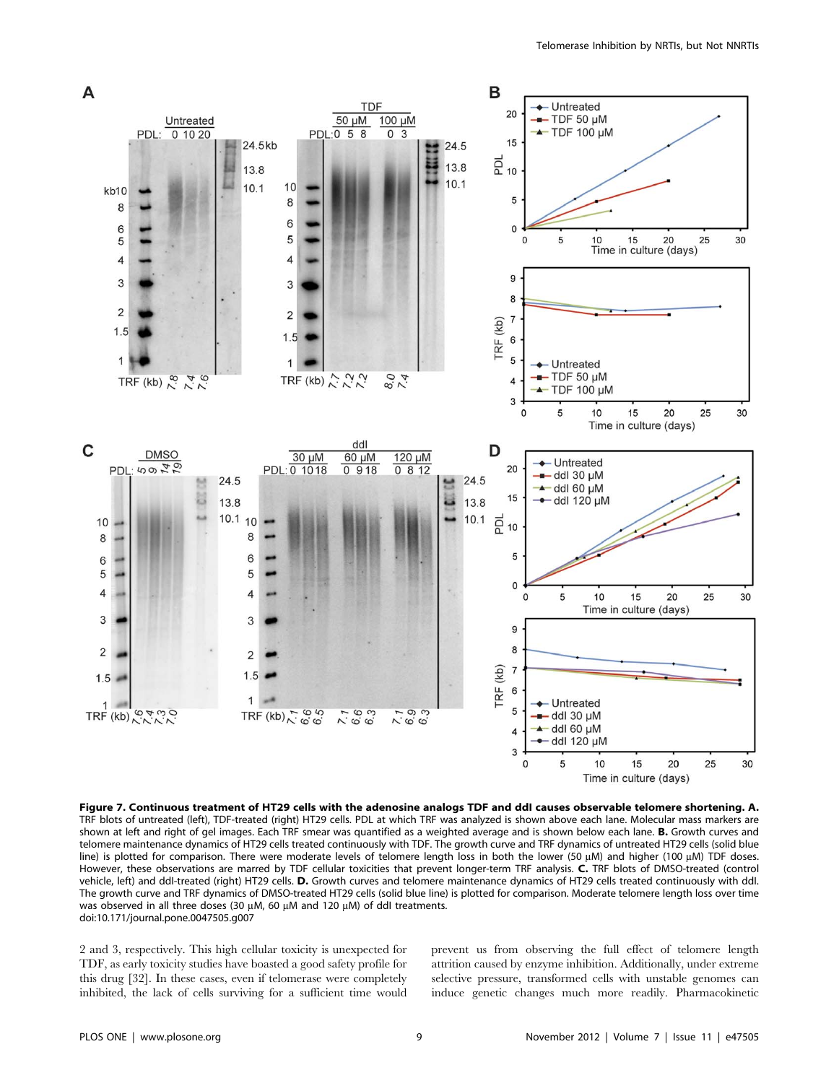

Figure 7. Continuous treatment of HT29 cells with the adenosine analogs TDF and ddI causes observable telomere shortening. A. TRF blots of untreated (left), TDF-treated (right) HT29 cells. PDL at which TRF was analyzed is shown above each lane. Molecular mass markers are shown at left and right of gel images. Each TRF smear was quantified as a weighted average and is shown below each lane. B. Growth curves and telomere maintenance dynamics of HT29 cells treated continuously with TDF. The growth curve and TRF dynamics of untreated HT29 cells (solid blue line) is plotted for comparison. There were moderate levels of telomere length loss in both the lower (50 µM) and higher (100 µM) TDF doses. However, these observations are marred by TDF cellular toxicities that prevent longer-term TRF analysis. C. TRF blots of DMSO-treated (control vehicle, left) and ddI-treated (right) HT29 cells. D. Growth curves and telomere maintenance dynamics of HT29 cells treated continuously with ddI. The growth curve and TRF dynamics of DMSO-treated HT29 cells (solid blue line) is plotted for comparison. Moderate telomere length loss over time was observed in all three doses (30  $\mu$ M, 60  $\mu$ M and 120  $\mu$ M) of ddl treatments. doi:10.171/journal.pone.0047505.g007

2 and 3, respectively. This high cellular toxicity is unexpected for TDF, as early toxicity studies have boasted a good safety profile for this drug [32]. In these cases, even if telomerase were completely inhibited, the lack of cells surviving for a sufficient time would prevent us from observing the full effect of telomere length attrition caused by enzyme inhibition. Additionally, under extreme selective pressure, transformed cells with unstable genomes can induce genetic changes much more readily. Pharmacokinetic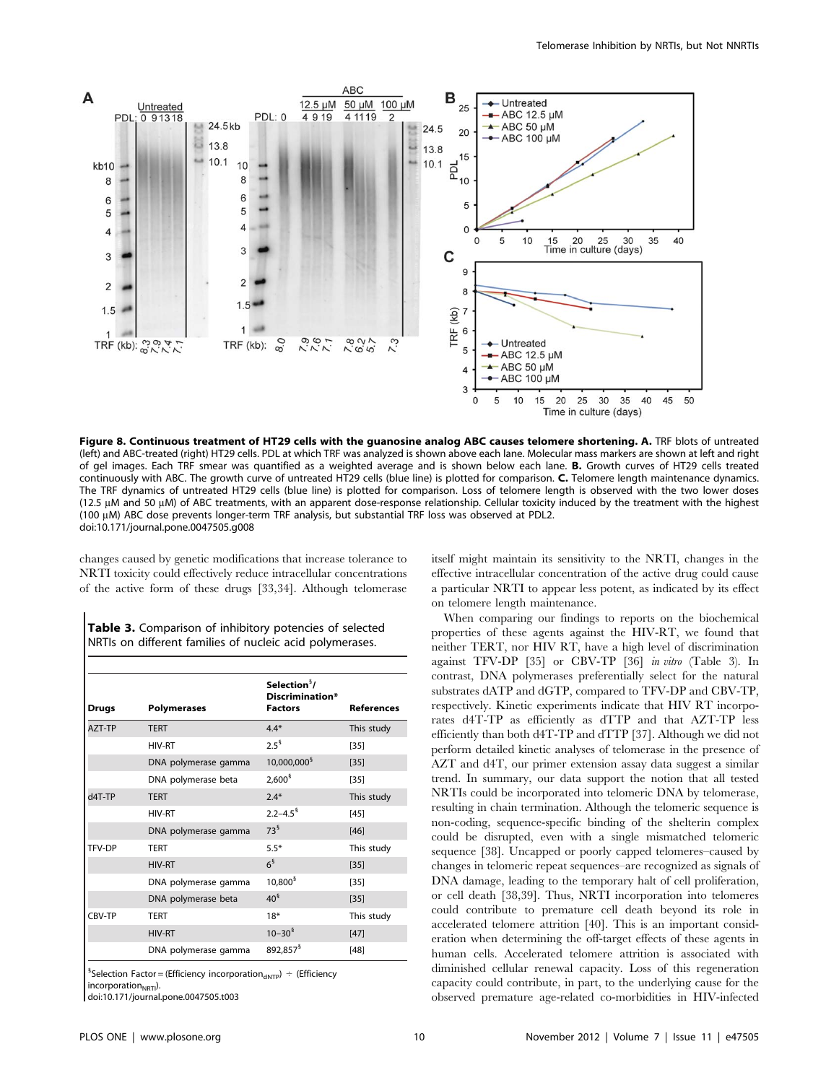

Figure 8. Continuous treatment of HT29 cells with the guanosine analog ABC causes telomere shortening. A. TRF blots of untreated (left) and ABC-treated (right) HT29 cells. PDL at which TRF was analyzed is shown above each lane. Molecular mass markers are shown at left and right of gel images. Each TRF smear was quantified as a weighted average and is shown below each lane. B. Growth curves of HT29 cells treated continuously with ABC. The growth curve of untreated HT29 cells (blue line) is plotted for comparison. C. Telomere length maintenance dynamics. The TRF dynamics of untreated HT29 cells (blue line) is plotted for comparison. Loss of telomere length is observed with the two lower doses (12.5 µM and 50 µM) of ABC treatments, with an apparent dose-response relationship. Cellular toxicity induced by the treatment with the highest (100 µM) ABC dose prevents longer-term TRF analysis, but substantial TRF loss was observed at PDL2. doi:10.171/journal.pone.0047505.g008

changes caused by genetic modifications that increase tolerance to NRTI toxicity could effectively reduce intracellular concentrations of the active form of these drugs [33,34]. Although telomerase

Table 3. Comparison of inhibitory potencies of selected NRTIs on different families of nucleic acid polymerases.

| <b>Drugs</b> | <b>Polymerases</b>   | Selection <sup>§</sup> /<br>Discrimination*<br><b>Factors</b> | <b>References</b> |
|--------------|----------------------|---------------------------------------------------------------|-------------------|
| AZT-TP       | <b>TERT</b>          | $4.4*$                                                        | This study        |
|              | <b>HIV-RT</b>        | $2.5^{\frac{5}{3}}$                                           | $[35]$            |
|              | DNA polymerase gamma | 10,000,000 <sup>§</sup>                                       | $[35]$            |
|              | DNA polymerase beta  | 2.600 <sup>5</sup>                                            | $[35]$            |
| d4T-TP       | <b>TERT</b>          | $2.4*$                                                        | This study        |
|              | HIV-RT               | $2.2 - 4.5$ <sup>§</sup>                                      | $[45]$            |
|              | DNA polymerase gamma | $73^5$                                                        | $[46]$            |
| TFV-DP       | <b>TERT</b>          | $5.5*$                                                        | This study        |
|              | <b>HIV-RT</b>        | $6^{\frac{5}{3}}$                                             | $[35]$            |
|              | DNA polymerase gamma | $10,800^{\frac{1}{3}}$                                        | $[35]$            |
|              | DNA polymerase beta  | $40^{\frac{5}{3}}$                                            | $[35]$            |
| CBV-TP       | <b>TERT</b>          | $18*$                                                         | This study        |
|              | <b>HIV-RT</b>        | $10 - 305$                                                    | $[47]$            |
|              | DNA polymerase gamma | 892,857 <sup>§</sup>                                          | [48]              |

 ${}^{5}$ Selection Factor = (Efficiency incorporation<sub>dNTP</sub>) ÷ (Efficiency  $incorporation_{NRTI})$ .

doi:10.171/journal.pone.0047505.t003

itself might maintain its sensitivity to the NRTI, changes in the effective intracellular concentration of the active drug could cause a particular NRTI to appear less potent, as indicated by its effect on telomere length maintenance.

When comparing our findings to reports on the biochemical properties of these agents against the HIV-RT, we found that neither TERT, nor HIV RT, have a high level of discrimination against TFV-DP [35] or CBV-TP [36] in vitro (Table 3). In contrast, DNA polymerases preferentially select for the natural substrates dATP and dGTP, compared to TFV-DP and CBV-TP, respectively. Kinetic experiments indicate that HIV RT incorporates d4T-TP as efficiently as dTTP and that AZT-TP less efficiently than both d4T-TP and dTTP [37]. Although we did not perform detailed kinetic analyses of telomerase in the presence of AZT and d4T, our primer extension assay data suggest a similar trend. In summary, our data support the notion that all tested NRTIs could be incorporated into telomeric DNA by telomerase, resulting in chain termination. Although the telomeric sequence is non-coding, sequence-specific binding of the shelterin complex could be disrupted, even with a single mismatched telomeric sequence [38]. Uncapped or poorly capped telomeres–caused by changes in telomeric repeat sequences–are recognized as signals of DNA damage, leading to the temporary halt of cell proliferation, or cell death [38,39]. Thus, NRTI incorporation into telomeres could contribute to premature cell death beyond its role in accelerated telomere attrition [40]. This is an important consideration when determining the off-target effects of these agents in human cells. Accelerated telomere attrition is associated with diminished cellular renewal capacity. Loss of this regeneration capacity could contribute, in part, to the underlying cause for the observed premature age-related co-morbidities in HIV-infected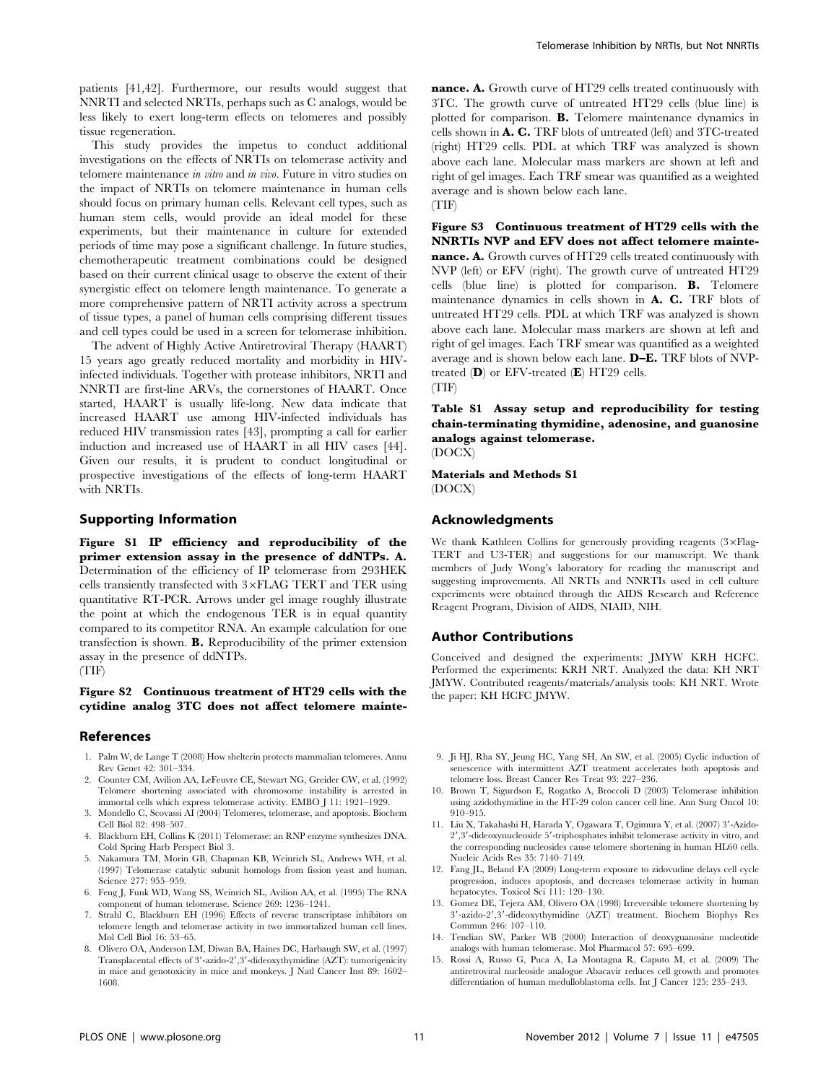patients [41,42]. Furthermore, our results would suggest that NNRTI and selected NRTIs, perhaps such as C analogs, would be less likely to exert long-term effects on telomeres and possibly tissue regeneration.

This study provides the impetus to conduct additional investigations on the effects of NRTIs on telomerase activity and telomere maintenance in vitro and in vivo. Future in vitro studies on the impact of NRTIs on telomere maintenance in human cells should focus on primary human cells. Relevant cell types, such as human stem cells, would provide an ideal model for these experiments, but their maintenance in culture for extended periods of time may pose a significant challenge. In future studies, chemotherapeutic treatment combinations could be designed based on their current clinical usage to observe the extent of their synergistic effect on telomere length maintenance. To generate a more comprehensive pattern of NRTI activity across a spectrum of tissue types, a panel of human cells comprising different tissues and cell types could be used in a screen for telomerase inhibition.

The advent of Highly Active Antiretroviral Therapy (HAART) 15 years ago greatly reduced mortality and morbidity in HIVinfected individuals. Together with protease inhibitors, NRTI and NNRTI are first-line ARVs, the cornerstones of HAART. Once started, HAART is usually life-long. New data indicate that increased HAART use among HIV-infected individuals has reduced HIV transmission rates [43], prompting a call for earlier induction and increased use of HAART in all HIV cases [44]. Given our results, it is prudent to conduct longitudinal or prospective investigations of the effects of long-term HAART with NRTIs.

#### Supporting Information

Figure S1 IP efficiency and reproducibility of the primer extension assay in the presence of ddNTPs. A. Determination of the efficiency of IP telomerase from 293HEK cells transiently transfected with  $3\times$ FLAG TERT and TER using quantitative RT-PCR. Arrows under gel image roughly illustrate the point at which the endogenous TER is in equal quantity compared to its competitor RNA. An example calculation for one transfection is shown. B. Reproducibility of the primer extension assay in the presence of ddNTPs.

## (TIF)

## Figure S2 Continuous treatment of HT29 cells with the cytidine analog 3TC does not affect telomere mainte-

#### References

- 1. Palm W, de Lange T (2008) How shelterin protects mammalian telomeres. Annu Rev Genet 42: 301–334.
- 2. Counter CM, Avilion AA, LeFeuvre CE, Stewart NG, Greider CW, et al. (1992) Telomere shortening associated with chromosome instability is arrested in immortal cells which express telomerase activity. EMBO J 11: 1921–1929.
- 3. Mondello C, Scovassi AI (2004) Telomeres, telomerase, and apoptosis. Biochem Cell Biol 82: 498–507.
- 4. Blackburn EH, Collins K (2011) Telomerase: an RNP enzyme synthesizes DNA. Cold Spring Harb Perspect Biol 3.
- 5. Nakamura TM, Morin GB, Chapman KB, Weinrich SL, Andrews WH, et al. (1997) Telomerase catalytic subunit homologs from fission yeast and human. Science 277: 955–959.
- 6. Feng J, Funk WD, Wang SS, Weinrich SL, Avilion AA, et al. (1995) The RNA component of human telomerase. Science 269: 1236–1241.
- 7. Strahl C, Blackburn EH (1996) Effects of reverse transcriptase inhibitors on telomere length and telomerase activity in two immortalized human cell lines. Mol Cell Biol 16: 53–65.
- 8. Olivero OA, Anderson LM, Diwan BA, Haines DC, Harbaugh SW, et al. (1997) Transplacental effects of 3'-azido-2',3'-dideoxythymidine (AZT): tumorigenicity in mice and genotoxicity in mice and monkeys. J Natl Cancer Inst 89: 1602– 1608.

nance. A. Growth curve of HT29 cells treated continuously with 3TC. The growth curve of untreated HT29 cells (blue line) is plotted for comparison. B. Telomere maintenance dynamics in cells shown in A. C. TRF blots of untreated (left) and 3TC-treated (right) HT29 cells. PDL at which TRF was analyzed is shown above each lane. Molecular mass markers are shown at left and right of gel images. Each TRF smear was quantified as a weighted average and is shown below each lane. (TIF)

Figure S3 Continuous treatment of HT29 cells with the NNRTIs NVP and EFV does not affect telomere maintenance. A. Growth curves of HT29 cells treated continuously with NVP (left) or EFV (right). The growth curve of untreated HT29 cells (blue line) is plotted for comparison. B. Telomere maintenance dynamics in cells shown in A. C. TRF blots of untreated HT29 cells. PDL at which TRF was analyzed is shown above each lane. Molecular mass markers are shown at left and right of gel images. Each TRF smear was quantified as a weighted average and is shown below each lane. D–E. TRF blots of NVPtreated  $(D)$  or EFV-treated  $(E)$  HT29 cells. (TIF)

Table S1 Assay setup and reproducibility for testing chain-terminating thymidine, adenosine, and guanosine analogs against telomerase. (DOCX)

Materials and Methods S1 (DOCX)

#### Acknowledgments

We thank Kathleen Collins for generously providing reagents  $(3\times\mathrm{Flag} -$ TERT and U3-TER) and suggestions for our manuscript. We thank members of Judy Wong's laboratory for reading the manuscript and suggesting improvements. All NRTIs and NNRTIs used in cell culture experiments were obtained through the AIDS Research and Reference Reagent Program, Division of AIDS, NIAID, NIH.

## Author Contributions

Conceived and designed the experiments: JMYW KRH HCFC. Performed the experiments: KRH NRT. Analyzed the data: KH NRT JMYW. Contributed reagents/materials/analysis tools: KH NRT. Wrote the paper: KH HCFC JMYW.

- 9. Ji HJ, Rha SY, Jeung HC, Yang SH, An SW, et al. (2005) Cyclic induction of senescence with intermittent AZT treatment accelerates both apoptosis and telomere loss. Breast Cancer Res Treat 93: 227–236.
- 10. Brown T, Sigurdson E, Rogatko A, Broccoli D (2003) Telomerase inhibition using azidothymidine in the HT-29 colon cancer cell line. Ann Surg Oncol 10: 910–915.
- 11. Liu X, Takahashi H, Harada Y, Ogawara T, Ogimura Y, et al. (2007) 3'-Azido- $2^{\prime},\!3^{\prime}$  -dideoxynucleoside  $5^{\prime}$  -triphosphates inhibit telomerase activity in vitro, and the corresponding nucleosides cause telomere shortening in human HL60 cells. Nucleic Acids Res 35: 7140–7149.
- 12. Fang JL, Beland FA (2009) Long-term exposure to zidovudine delays cell cycle progression, induces apoptosis, and decreases telomerase activity in human hepatocytes. Toxicol Sci 111: 120–130.
- 13. Gomez DE, Tejera AM, Olivero OA (1998) Irreversible telomere shortening by 3'-azido-2',3'-dideoxythymidine (AZT) treatment. Biochem Biophys Res Commun 246: 107–110.
- 14. Tendian SW, Parker WB (2000) Interaction of deoxyguanosine nucleotide analogs with human telomerase. Mol Pharmacol 57: 695–699.
- 15. Rossi A, Russo G, Puca A, La Montagna R, Caputo M, et al. (2009) The antiretroviral nucleoside analogue Abacavir reduces cell growth and promotes differentiation of human medulloblastoma cells. Int J Cancer 125: 235–243.